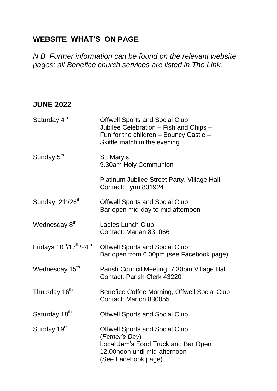#### **WEBSITE WHAT'S ON PAGE**

*N.B. Further information can be found on the relevant website pages; all Benefice church services are listed in The Link.* 

#### **JUNE 2022**

| Saturday 4 <sup>th</sup>          | <b>Offwell Sports and Social Club</b><br>Jubilee Celebration - Fish and Chips -<br>Fun for the children - Bouncy Castle -<br>Skittle match in the evening |
|-----------------------------------|-----------------------------------------------------------------------------------------------------------------------------------------------------------|
| Sunday 5 <sup>th</sup>            | St. Mary's<br>9.30am Holy Communion                                                                                                                       |
|                                   | Platinum Jubilee Street Party, Village Hall<br>Contact: Lynn 831924                                                                                       |
| Sunday12th/26 <sup>th</sup>       | <b>Offwell Sports and Social Club</b><br>Bar open mid-day to mid afternoon                                                                                |
| Wednesday 8th                     | Ladies Lunch Club<br>Contact: Marian 831066                                                                                                               |
| Fridays $10^{th}/17^{th}/24^{th}$ | <b>Offwell Sports and Social Club</b><br>Bar open from 6.00pm (see Facebook page)                                                                         |
| Wednesday 15 <sup>th</sup>        | Parish Council Meeting, 7.30pm Village Hall<br>Contact: Parish Clerk 43220                                                                                |
| Thursday 16 <sup>th</sup>         | Benefice Coffee Morning, Offwell Social Club<br>Contact: Marion 830055                                                                                    |
| Saturday 18 <sup>th</sup>         | <b>Offwell Sports and Social Club</b>                                                                                                                     |
| Sunday 19th                       | <b>Offwell Sports and Social Club</b><br>(Father's Day)<br>Local Jem's Food Truck and Bar Open<br>12.00noon until mid-afternoon<br>(See Facebook page)    |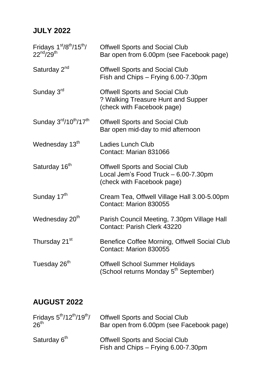## **JULY 2022**

| Fridays 1st/8th/15th/<br>$22^{nd}/29^{th}$                 | <b>Offwell Sports and Social Club</b><br>Bar open from 6.00pm (see Facebook page)                           |
|------------------------------------------------------------|-------------------------------------------------------------------------------------------------------------|
| Saturday 2 <sup>nd</sup>                                   | <b>Offwell Sports and Social Club</b><br>Fish and Chips - Frying 6.00-7.30pm                                |
| Sunday 3rd                                                 | <b>Offwell Sports and Social Club</b><br>? Walking Treasure Hunt and Supper<br>(check with Facebook page)   |
| Sunday 3 <sup>rd</sup> /10 <sup>th</sup> /17 <sup>th</sup> | <b>Offwell Sports and Social Club</b><br>Bar open mid-day to mid afternoon                                  |
| Wednesday 13th                                             | <b>Ladies Lunch Club</b><br>Contact: Marian 831066                                                          |
| Saturday 16 <sup>th</sup>                                  | <b>Offwell Sports and Social Club</b><br>Local Jem's Food Truck - 6.00-7.30pm<br>(check with Facebook page) |
| Sunday 17th                                                | Cream Tea, Offwell Village Hall 3.00-5.00pm<br>Contact: Marion 830055                                       |
| Wednesday 20 <sup>th</sup>                                 | Parish Council Meeting, 7.30pm Village Hall<br>Contact: Parish Clerk 43220                                  |
| Thursday 21 <sup>st</sup>                                  | Benefice Coffee Morning, Offwell Social Club<br>Contact: Marion 830055                                      |
| Tuesday 26 <sup>th</sup>                                   | <b>Offwell School Summer Holidays</b><br>(School returns Monday 5 <sup>th</sup> September)                  |

## **AUGUST 2022**

| Fridays $5^{\text{th}}$ /12 <sup>th</sup> /19 <sup>th</sup> / | <b>Offwell Sports and Social Club</b>                                        |
|---------------------------------------------------------------|------------------------------------------------------------------------------|
| 26 <sup>th</sup>                                              | Bar open from 6.00pm (see Facebook page)                                     |
| Saturday 6th                                                  | <b>Offwell Sports and Social Club</b><br>Fish and Chips - Frying 6.00-7.30pm |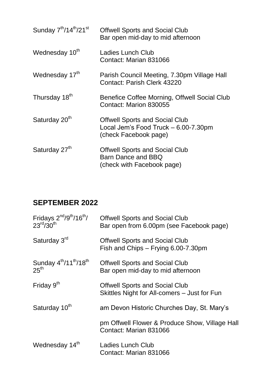| Sunday 7 <sup>th</sup> /14 <sup>th</sup> /21 <sup>st</sup> | <b>Offwell Sports and Social Club</b><br>Bar open mid-day to mid afternoon                             |
|------------------------------------------------------------|--------------------------------------------------------------------------------------------------------|
| Wednesday 10 <sup>th</sup>                                 | <b>Ladies Lunch Club</b><br>Contact: Marian 831066                                                     |
| Wednesday 17th                                             | Parish Council Meeting, 7.30pm Village Hall<br>Contact: Parish Clerk 43220                             |
| Thursday 18th                                              | Benefice Coffee Morning, Offwell Social Club<br>Contact: Marion 830055                                 |
| Saturday 20th                                              | <b>Offwell Sports and Social Club</b><br>Local Jem's Food Truck - 6.00-7.30pm<br>(check Facebook page) |
| Saturday 27th                                              | <b>Offwell Sports and Social Club</b><br>Barn Dance and BBQ<br>(check with Facebook page)              |

# **SEPTEMBER 2022**

| Fridays $2^{nd}/9^{th}/16^{th}/$<br>23 <sup>rd</sup> /30 <sup>th</sup>         | <b>Offwell Sports and Social Club</b><br>Bar open from 6.00pm (see Facebook page)     |
|--------------------------------------------------------------------------------|---------------------------------------------------------------------------------------|
| Saturday 3 <sup>rd</sup>                                                       | <b>Offwell Sports and Social Club</b><br>Fish and Chips - Frying 6.00-7.30pm          |
| Sunday 4 <sup>th</sup> /11 <sup>th</sup> /18 <sup>th</sup><br>25 <sup>th</sup> | <b>Offwell Sports and Social Club</b><br>Bar open mid-day to mid afternoon            |
| Friday $9th$                                                                   | <b>Offwell Sports and Social Club</b><br>Skittles Night for All-comers – Just for Fun |
| Saturday 10th                                                                  | am Devon Historic Churches Day, St. Mary's                                            |
|                                                                                | pm Offwell Flower & Produce Show, Village Hall<br>Contact: Marian 831066              |
| Wednesday 14th                                                                 | Ladies Lunch Club<br>Contact: Marian 831066                                           |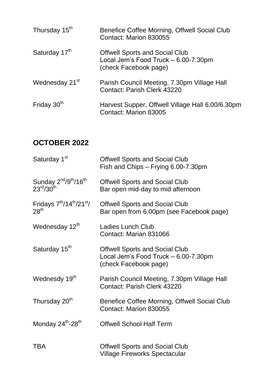| Thursday 15 <sup>th</sup>  | Benefice Coffee Morning, Offwell Social Club<br>Contact: Marion 830055                                 |
|----------------------------|--------------------------------------------------------------------------------------------------------|
| Saturday 17th              | <b>Offwell Sports and Social Club</b><br>Local Jem's Food Truck - 6.00-7.30pm<br>(check Facebook page) |
| Wednesday 21 <sup>st</sup> | Parish Council Meeting, 7.30pm Village Hall<br>Contact: Parish Clerk 43220                             |
| Friday 30th                | Harvest Supper, Offwell Village Hall 6.00/6.30pm<br>Contact: Marion 83005                              |

# **OCTOBER 2022**

| Saturday 1 <sup>st</sup>                                                                     | <b>Offwell Sports and Social Club</b><br>Fish and Chips - Frying 6.00-7.30pm                           |
|----------------------------------------------------------------------------------------------|--------------------------------------------------------------------------------------------------------|
| Sunday 2 <sup>nd</sup> /9 <sup>th</sup> /16 <sup>th</sup><br>$23^{\text{rd}}/30^{\text{th}}$ | <b>Offwell Sports and Social Club</b><br>Bar open mid-day to mid afternoon                             |
| Fridays 7 <sup>th</sup> /14 <sup>th</sup> /21 <sup>st</sup> /<br>28 <sup>th</sup>            | <b>Offwell Sports and Social Club</b><br>Bar open from 6.00pm (see Facebook page)                      |
| Wednesday 12th                                                                               | Ladies Lunch Club<br>Contact: Marian 831066                                                            |
| Saturday 15th                                                                                | <b>Offwell Sports and Social Club</b><br>Local Jem's Food Truck - 6.00-7.30pm<br>(check Facebook page) |
| Wednesdy 19th                                                                                | Parish Council Meeting, 7.30pm Village Hall<br>Contact: Parish Clerk 43220                             |
| Thursday 20 <sup>th</sup>                                                                    | Benefice Coffee Morning, Offwell Social Club<br>Contact: Marion 830055                                 |
| Monday 24th-28th                                                                             | <b>Offwell School Half Term</b>                                                                        |
| <b>TBA</b>                                                                                   | <b>Offwell Sports and Social Club</b><br>Village Fireworks Spectacular                                 |